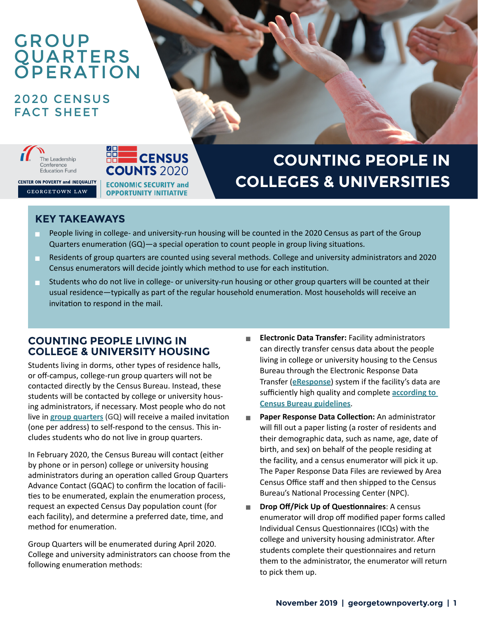## GROUP QUARTERS **OPERATION**

## 2020 CENSUS FACT SHEET



**COUNTS 2020 CENTER ON POVERTY and INEQUALITY ECONOMIC SECURITY and** 

**GEORGETOWN LAW** 

# **COUNTING PEOPLE IN COLLEGES & UNIVERSITIES**

#### **KEY TAKEAWAYS**

- People living in college- and university-run housing will be counted in the 2020 Census as part of the Group Quarters enumeration (GQ)—a special operation to count people in group living situations.
- Residents of group quarters are counted using several methods. College and university administrators and 2020 Census enumerators will decide jointly which method to use for each institution.
- Students who do not live in college- or university-run housing or other group quarters will be counted at their usual residence—typically as part of the regular household enumeration. Most households will receive an invitation to respond in the mail.

#### **COUNTING PEOPLE LIVING IN COLLEGE & UNIVERSITY HOUSING**

**ECENSUS** 

**OPPORTUNITY INITIATIVE** 

Students living in dorms, other types of residence halls, or off-campus, college-run group quarters will not be contacted directly by the Census Bureau. Instead, these students will be contacted by college or university housing administrators, if necessary. Most people who do not live in **[group quarters](https://www.census.gov/topics/income-poverty/poverty/guidance/group-quarters.html)** (GQ) will receive a mailed invitation (one per address) to self-respond to the census. This includes students who do not live in group quarters.

In February 2020, the Census Bureau will contact (either by phone or in person) college or university housing administrators during an operation called Group Quarters Advance Contact (GQAC) to confirm the location of facilities to be enumerated, explain the enumeration process, request an expected Census Day population count (for each facility), and determine a preferred date, time, and method for enumeration.

Group Quarters will be enumerated during April 2020. College and university administrators can choose from the following enumeration methods:

- **Electronic Data Transfer: Facility administrators** can directly transfer census data about the people living in college or university housing to the Census Bureau through the Electronic Response Data Transfer (**[eResponse](https://www2.census.gov/programs-surveys/decennial/2020/program-management/planning-docs/GQ_detailed_operational_plan.pdf)**) system if the facility's data are sufficiently high quality and complete **[according to](https://www.federalregister.gov/documents/2018/06/08/2018-12365/proposed-information-collection-comment-request-2020-census)  [Census Bureau guidelines](https://www.federalregister.gov/documents/2018/06/08/2018-12365/proposed-information-collection-comment-request-2020-census)**.
- **Paper Response Data Collection:** An administrator will fill out a paper listing (a roster of residents and their demographic data, such as name, age, date of birth, and sex) on behalf of the people residing at the facility, and a census enumerator will pick it up. The Paper Response Data Files are reviewed by Area Census Office staff and then shipped to the Census Bureau's National Processing Center (NPC).
- **Drop Off/Pick Up of Questionnaires: A census** enumerator will drop off modified paper forms called Individual Census Questionnaires (ICQs) with the college and university housing administrator. After students complete their questionnaires and return them to the administrator, the enumerator will return to pick them up.